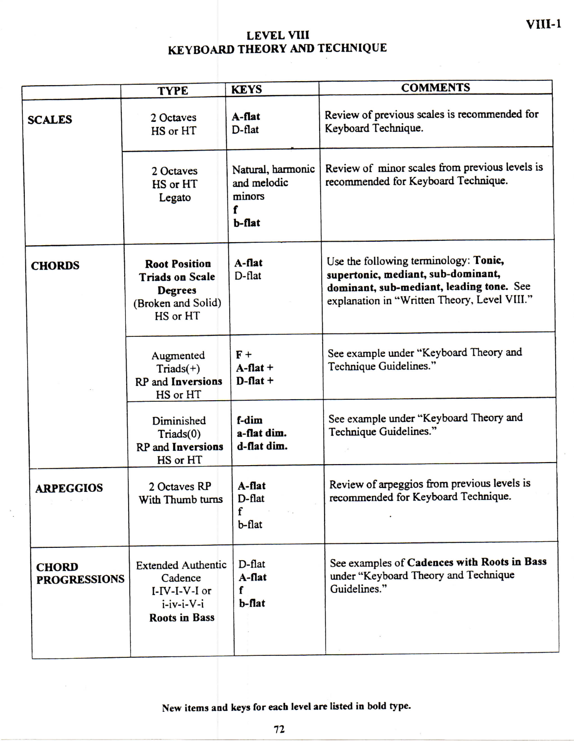## **LEVE L VIII KEYBOARD THEORY AND TECHNIQUE**

**VIII-1** 

|                                     | <b>TYPE</b>                                                                                          | <b>KEYS</b>                                               | <b>COMMENTS</b>                                                                                                                                                         |  |  |  |  |
|-------------------------------------|------------------------------------------------------------------------------------------------------|-----------------------------------------------------------|-------------------------------------------------------------------------------------------------------------------------------------------------------------------------|--|--|--|--|
| <b>SCALES</b>                       | 2 Octaves<br>HS or HT                                                                                | $A$ -flat<br>D-flat                                       | Review of previous scales is recommended for<br>Keyboard Technique.                                                                                                     |  |  |  |  |
|                                     | 2 Octaves<br>HS or HT<br>Legato                                                                      | Natural, harmonic<br>and melodic<br>minors<br>f<br>b-flat | Review of minor scales from previous levels is<br>recommended for Keyboard Technique.                                                                                   |  |  |  |  |
| <b>CHORDS</b>                       | <b>Root Position</b><br><b>Triads on Scale</b><br><b>Degrees</b><br>(Broken and Solid)<br>HS or HT   | A-flat<br>$D$ -flat                                       | Use the following terminology: Tonic,<br>supertonic, mediant, sub-dominant,<br>dominant, sub-mediant, leading tone. See<br>explanation in "Written Theory, Level VIII." |  |  |  |  |
|                                     | Augmented<br>$Triads(+)$<br><b>RP</b> and <b>Inversions</b><br>HS or HT                              | $F +$<br>$A$ -flat +<br>$D$ -flat +                       | See example under "Keyboard Theory and<br>Technique Guidelines."                                                                                                        |  |  |  |  |
|                                     | Diminished<br>Triads(0)<br><b>RP</b> and <b>Inversions</b><br>HS or HT                               | f-dim<br>a-flat dim.<br>d-flat dim.                       | See example under "Keyboard Theory and<br>Technique Guidelines."                                                                                                        |  |  |  |  |
| <b>ARPEGGIOS</b>                    | 2 Octaves RP<br>With Thumb turns                                                                     | A-flat<br>D-flat<br>f<br>b-flat                           | Review of arpeggios from previous levels is<br>recommended for Keyboard Technique.                                                                                      |  |  |  |  |
| <b>CHORD</b><br><b>PROGRESSIONS</b> | <b>Extended Authentic</b><br>Cadence<br>$I-IV-I-V-I$ or<br>$i$ -iv-i- $V$ -i<br><b>Roots in Bass</b> | D-flat<br>$A$ -flat<br>f<br>$b$ -flat                     | See examples of Cadences with Roots in Bass<br>under "Keyboard Theory and Technique<br>Guidelines."                                                                     |  |  |  |  |

**New items aad keys for each level are listed in bold type.**